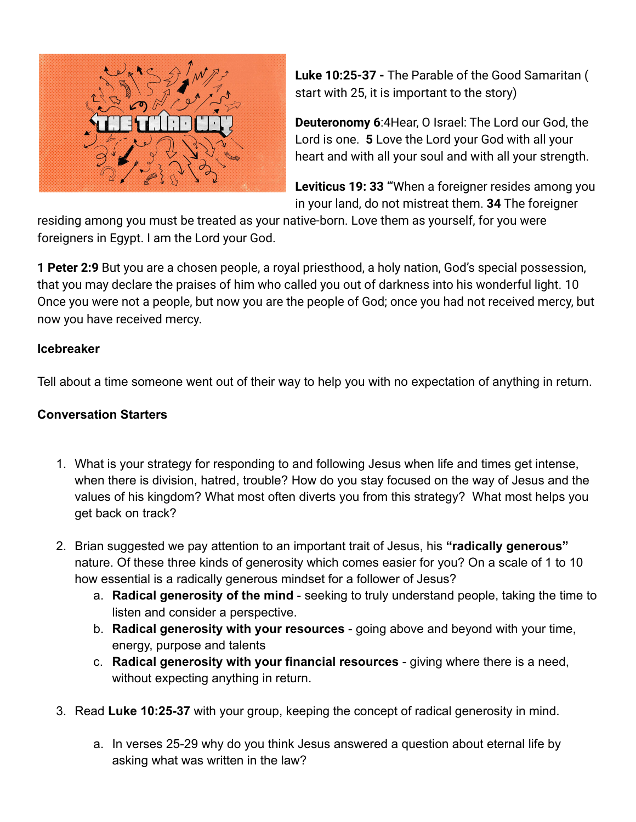

**Luke 10:25-37 -** The Parable of the Good Samaritan ( start with 25, it is important to the story)

**Deuteronomy 6**:4Hear, O Israel: The Lord our God, the Lord is one. **5** Love the Lord your God with all your heart and with all your soul and with all your strength.

**Leviticus 19: 33** "'When a foreigner resides among you in your land, do not mistreat them. **34** The foreigner

residing among you must be treated as your native-born. Love them as yourself, for you were foreigners in Egypt. I am the Lord your God.

**1 Peter 2:9** But you are a chosen people, a royal priesthood, a holy nation, God's special possession, that you may declare the praises of him who called you out of darkness into his wonderful light. 10 Once you were not a people, but now you are the people of God; once you had not received mercy, but now you have received mercy.

## **Icebreaker**

Tell about a time someone went out of their way to help you with no expectation of anything in return.

## **Conversation Starters**

- 1. What is your strategy for responding to and following Jesus when life and times get intense, when there is division, hatred, trouble? How do you stay focused on the way of Jesus and the values of his kingdom? What most often diverts you from this strategy? What most helps you get back on track?
- 2. Brian suggested we pay attention to an important trait of Jesus, his **"radically generous"** nature. Of these three kinds of generosity which comes easier for you? On a scale of 1 to 10 how essential is a radically generous mindset for a follower of Jesus?
	- a. **Radical generosity of the mind** seeking to truly understand people, taking the time to listen and consider a perspective.
	- b. **Radical generosity with your resources** going above and beyond with your time, energy, purpose and talents
	- c. **Radical generosity with your financial resources** giving where there is a need, without expecting anything in return.
- 3. Read **Luke 10:25-37** with your group, keeping the concept of radical generosity in mind.
	- a. In verses 25-29 why do you think Jesus answered a question about eternal life by asking what was written in the law?